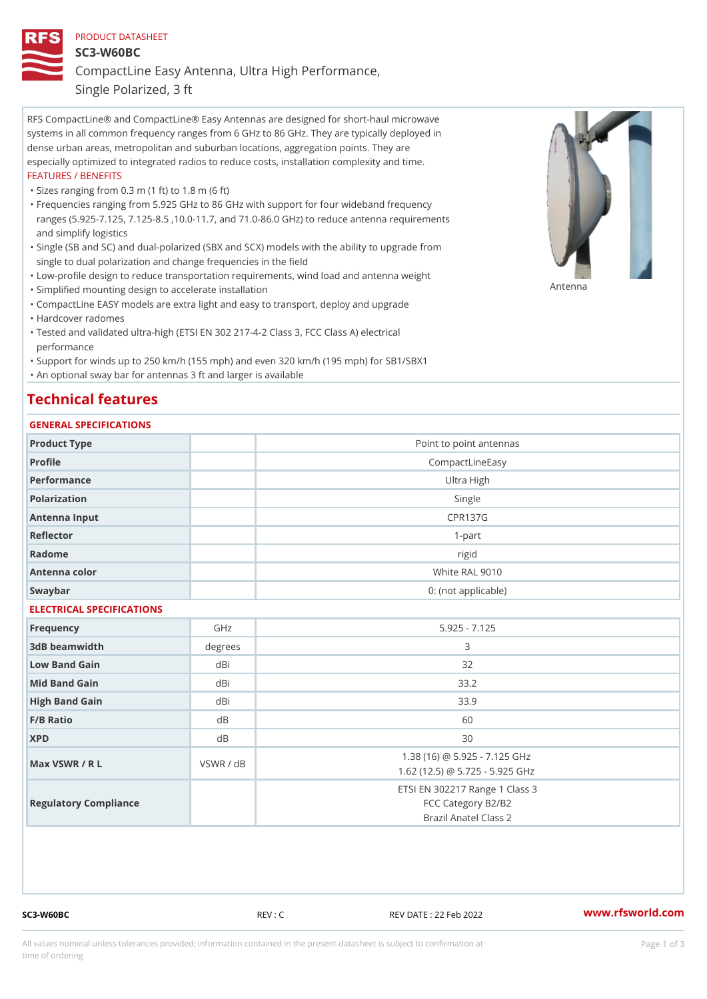# PRODUCT DATASHEET SC3-W60BC CompactLine Easy Antenna, Ultra High Performance,

Single Polarized, 3 ft

RFS CompactLine® and CompactLine® Easy Antennas are designed for short-haul microwave systems in all common frequency ranges from 6 GHz to 86 GHz. They are typically deployed in dense urban areas, metropolitan and suburban locations, aggregation points. They are especially optimized to integrated radios to reduce costs, installation complexity and time. FEATURES / BENEFITS

"Sizes ranging from 0.3 m (1 ft) to 1.8 m (6 ft)

- Frequencies ranging from 5.925 GHz to 86 GHz with support for four wideband frequency " ranges (5.925-7.125, 7.125-8.5 ,10.0-11.7, and 71.0-86.0 GHz) to reduce antenna requirements and simplify logistics
- Single (SB and SC) and dual-polarized (SBX and SCX) models with the ability to upgrade from " single to dual polarization and change frequencies in the field
- "Low-profile design to reduce transportation requirements, wind load and antenna weight
- "Simplified mounting design to accelerate installation

 "CompactLine EASY models are extra light and easy to transport, deploy and upgrade "Hardcover radomes

Tested and validated ultra-high (ETSI EN 302 217-4-2 Class 3, FCC Class A) electrical " performance

 "Support for winds up to 250 km/h (155 mph) and even 320 km/h (195 mph) for SB1/SBX1 "An optional sway bar for antennas 3 ft and larger is available

## Technical features

### GENERAL SPECIFICATIONS

| Product Type              |                | Point to point antennas                                                       |  |  |
|---------------------------|----------------|-------------------------------------------------------------------------------|--|--|
| Profile                   |                | CompactLineEasy                                                               |  |  |
| Performance               | Ultra High     |                                                                               |  |  |
| Polarization              | Single         |                                                                               |  |  |
| Antenna Input             | <b>CPR137G</b> |                                                                               |  |  |
| Reflector                 | $1 - p$ art    |                                                                               |  |  |
| Radome                    |                | rigid                                                                         |  |  |
| Antenna color             |                | White RAL 9010                                                                |  |  |
| Swaybar                   |                | 0: (not applicable)                                                           |  |  |
| ELECTRICAL SPECIFICATIONS |                |                                                                               |  |  |
| Frequency                 | GHz            | $5.925 - 7.125$                                                               |  |  |
| 3dB beamwidth             | degree:        | 3                                                                             |  |  |
| Low Band Gain             | dBi            | 32                                                                            |  |  |
| Mid Band Gain             | dBi            | 33.2                                                                          |  |  |
| High Band Gain            | dBi            | 33.9                                                                          |  |  |
| $F/B$ Ratio               | d <sub>B</sub> | 60                                                                            |  |  |
| <b>XPD</b>                | d <sub>B</sub> | 30                                                                            |  |  |
| Max VSWR / R L            | VSWR / dB      | 1.38 (16) @ 5.925 - 7.125 GHz<br>1.62 (12.5) @ 5.725 - 5.925 GHz              |  |  |
| Regulatory Compliance     |                | ETSI EN 302217 Range 1 Class 3<br>FCC Category B2/B2<br>Brazil Anatel Class 2 |  |  |

SC3-W60BC REV : C REV DATE : 22 Feb 2022 [www.](https://www.rfsworld.com)rfsworld.com

Antenna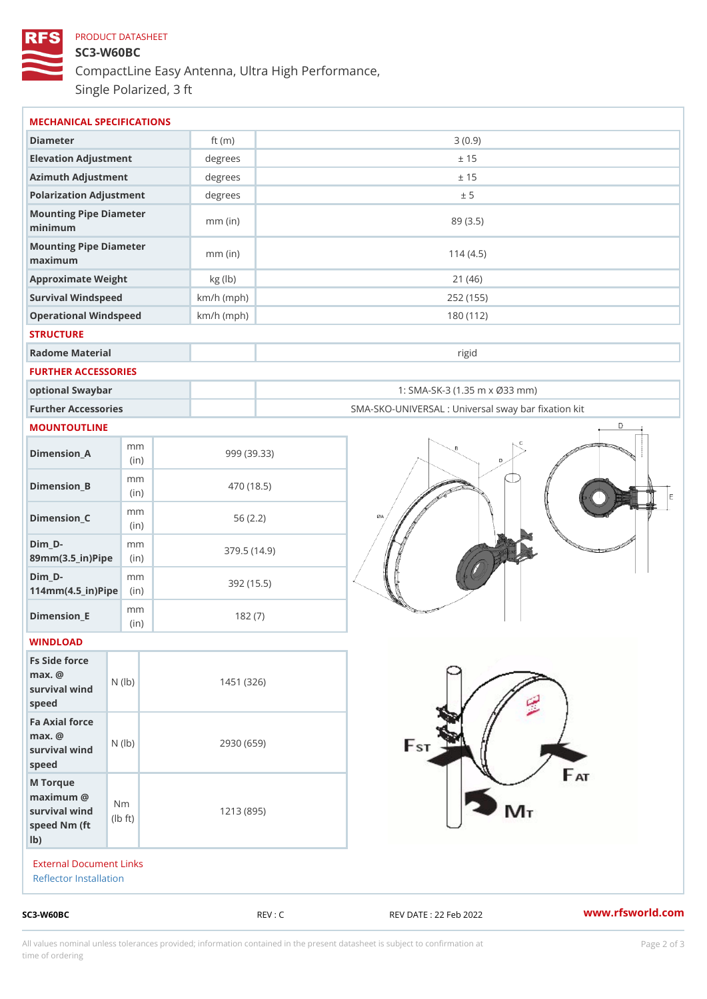## PRODUCT DATASHEET SC3-W60BC CompactLine Easy Antenna, Ultra High Performance, Single Polarized, 3 ft

| MECHANICAL SPECIFICATIONS                                                                                      |              |             |                                                   |  |
|----------------------------------------------------------------------------------------------------------------|--------------|-------------|---------------------------------------------------|--|
| Diameter                                                                                                       | ft $(m)$     |             | 3(0.9)                                            |  |
| Elevation Adjustment                                                                                           | degrees      |             | ± 15                                              |  |
| Azimuth Adjustment                                                                                             | degrees      | ± 15        |                                                   |  |
| Polarization Adjustment                                                                                        | degrees      |             | ± 5                                               |  |
| Mounting Pipe Diameter<br>minimum                                                                              | $mm$ (in)    |             | 89 (3.5)                                          |  |
| Mounting Pipe Diameter<br>maximum                                                                              | $mm$ (in)    | 114(4.5)    |                                                   |  |
| Approximate Weight                                                                                             | kg (lb)      | 21(46)      |                                                   |  |
| Survival Windspeed                                                                                             | $km/h$ (mph) | 252 (155)   |                                                   |  |
| Operational Windspeed                                                                                          | $km/h$ (mph) |             | 180 (112)                                         |  |
| <b>STRUCTURE</b>                                                                                               |              |             |                                                   |  |
| Radome Material                                                                                                |              |             | rigid                                             |  |
| FURTHER ACCESSORIES                                                                                            |              |             |                                                   |  |
| optional Swaybar                                                                                               |              |             | 1: SMA-SK-3 (1.35 m x Ø33 mm)                     |  |
| Further Accessories                                                                                            |              |             | SMA-SKO-UNIVERSAL : Universal sway bar fixation l |  |
| MOUNTOUTLINE                                                                                                   |              |             |                                                   |  |
| m m<br>$Dimen sion_A$<br>(in)                                                                                  |              | 999 (39.33) |                                                   |  |
| m m<br>$Dimension_B$<br>(in)                                                                                   |              | 470 (18.5)  |                                                   |  |
| m m<br>$Dimension_C$<br>(in)                                                                                   |              | 56(2.2)     |                                                   |  |
| $Dim_D -$<br>m m<br>89mm (3.5_in) Pi(pine)                                                                     |              | 379.5(14.9) |                                                   |  |
| $Dim_D - D -$<br>m m<br>$114$ m m $(4.5$ ir $)$ $\sqrt{$ ii $\sqrt{p}}$ $\ge$                                  | 392 (15.5)   |             |                                                   |  |
| m m<br>$Dimension$ _ $E$<br>(in)                                                                               |              | 182(7)      |                                                   |  |
| WINDLOAD                                                                                                       |              |             |                                                   |  |
| Fs Side force<br>$max.$ @<br>survival wind $\begin{pmatrix} N & (1 b) \\ 0 & N & (1 b) \end{pmatrix}$<br>speed | 1451 (326)   |             |                                                   |  |
| Fa Axial force<br>$max.$ @<br>survival wind (1b)<br>speed                                                      | 2930 (659)   |             |                                                   |  |
| M Torque<br>$maximum$ @<br>N <sub>m</sub><br>survival wind<br>$\dagger$ t)<br>l b<br>speed Nm (ft<br>$1b$ )    | 1213 (895)   |             |                                                   |  |
| External Document Links<br>Reflector Installation                                                              |              |             |                                                   |  |
| $SC3-W60BC$                                                                                                    |              | REV : C     | www.rfsworld.co<br>REV DATE : 22 Feb 2022         |  |

All values nominal unless tolerances provided; information contained in the present datasheet is subject to Pcapgelio an atio time of ordering